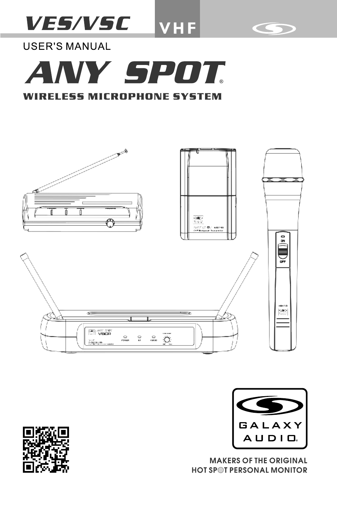# **VES/VSC VHF**



**USER'S MANUAL** 







**MAKERS OF THE ORIGINAL HOT SPOT PERSONAL MONITOR** 

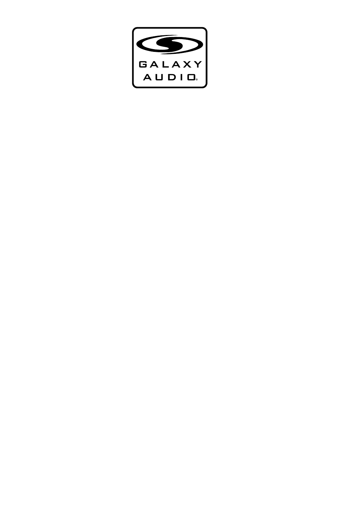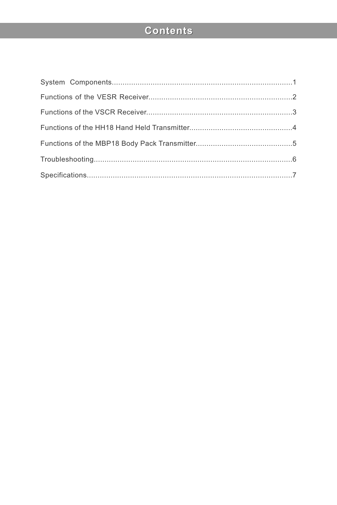# Contents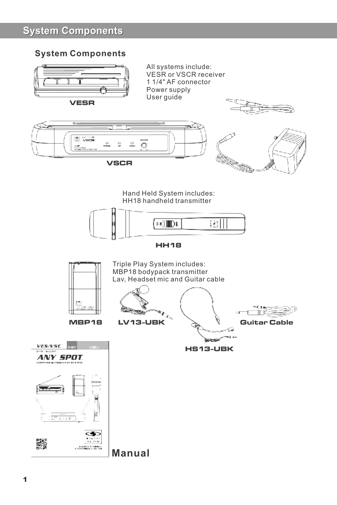# **System Components**

## **System Components**



**Manual**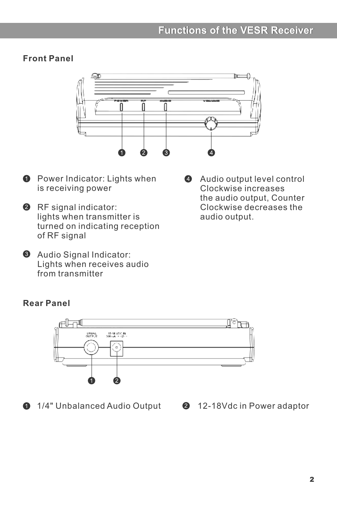## **Front Panel**



- **O** Power Indicator: Lights when is receiving power
- **2** RF signal indicator: lights when transmitter is turned on indicating reception of RF signal
- $\Theta$  Audio Signal Indicator: Lights when receives audio from transmitter
- Audio output level control  $\bullet$ Clockwise increases the audio output, Counter Clockwise decreases the audio output.

## **Rear Panel**



**1/4"** Unbalanced Audio Output **2** 12-18Vdc in Power adaptor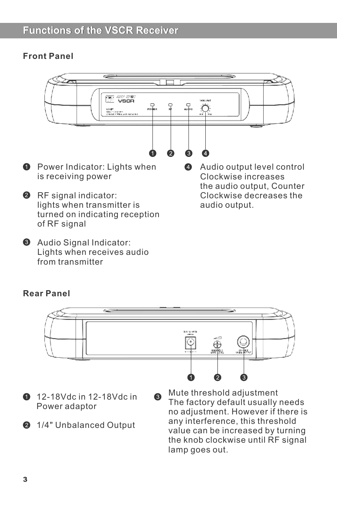# **Functions of the VSCR Receiver**

### **Front Panel**



**8** Audio Signal Indicator: Lights when receives audio from transmitter

#### **Rear Panel**



- **12-18Vdc in 12-18Vdc in** Power adaptor
- **2** 1/4" Unbalanced Output
- The factory default usually needs no adjustment. However if there is any interference, this threshold value can be increased by turning the knob clockwise until RF signal lamp goes out.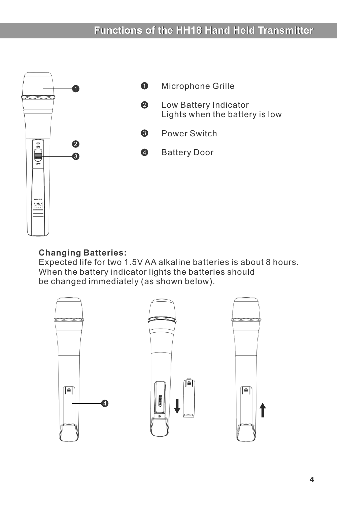# **Functions of the HH18 Hand Held Transmitter**



#### **Changing Batteries:**

Expected life for two 1.5V AA alkaline batteries is about 8 hours. When the battery indicator lights the batteries should be changed immediately (as shown below).

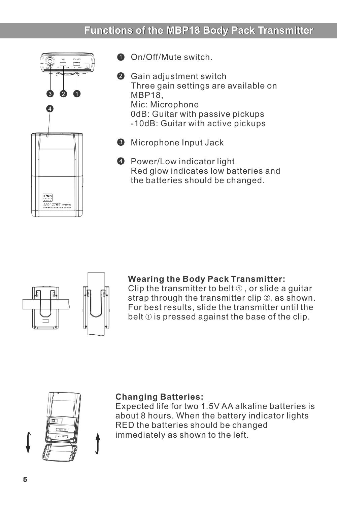# **Functions of the MBP18 Body Pack Transmitter**



**O** On/Off/Mute switch.

- **<sup>2</sup>** Gain adjustment switch Three gain settings are available on MBP18, Mic: Microphone 0dB: Guitar with passive pickups -10dB: Guitar with active pickups
- **<sup>6</sup>** Microphone Input Jack
- **O** Power/Low indicator light Red glow indicates low batteries and the batteries should be changed.

# 7.

#### **Wearing the Body Pack Transmitter:**

Clip the transmitter to belt  $\odot$  , or slide a quitar strap through the transmitter clip  $\mathcal{D}$ , as shown. For best results, slide the transmitter until the belt  $\odot$  is pressed against the base of the clip.



#### **Changing Batteries:**

Expected life for two 1.5V AA alkaline batteries is about 8 hours. When the battery indicator lights RED the batteries should be changed immediately as shown to the left.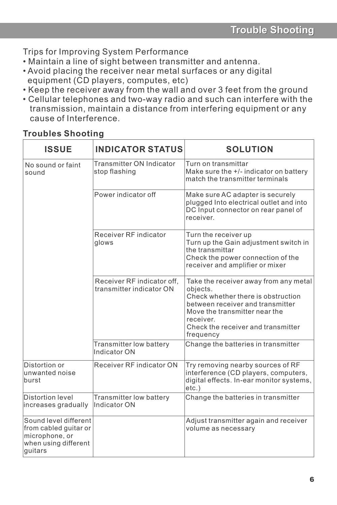Trips for Improving System Performance

- Maintain a line of sight between transmitter and antenna.
- Avoid placing the receiver near metal surfaces or any digital equipment (CD players, computes, etc)
- Keep the receiver away from the wall and over 3 feet from the ground
- Cellular telephones and two-way radio and such can interfere with the transmission, maintain a distance from interfering equipment or any cause of Interference.

# **Troubles Shooting**

| <b>ISSUE</b>                                                                                        | <b>INDICATOR STATUS</b>                                | <b>SOLUTION</b>                                                                                                                                                                                                              |
|-----------------------------------------------------------------------------------------------------|--------------------------------------------------------|------------------------------------------------------------------------------------------------------------------------------------------------------------------------------------------------------------------------------|
| No sound or faint<br>sound                                                                          | Transmitter ON Indicator<br>stop flashing              | Turn on transmittar<br>Make sure the +/- indicator on battery<br>match the transmitter terminals                                                                                                                             |
|                                                                                                     | Power indicator off                                    | Make sure AC adapter is securely<br>plugged Into electrical outlet and into<br>DC Input connector on rear panel of<br>receiver.                                                                                              |
|                                                                                                     | Receiver RF indicator<br>glows                         | Turn the receiver up<br>Turn up the Gain adjustment switch in<br>the transmittar<br>Check the power connection of the<br>receiver and amplifier or mixer                                                                     |
|                                                                                                     | Receiver RF indicator off,<br>transmitter indicator ON | Take the receiver away from any metal<br>objects.<br>Check whether there is obstruction<br>between receiver and transmitter<br>Move the transmitter near the<br>receiver.<br>Check the receiver and transmitter<br>frequency |
|                                                                                                     | Transmitter low battery<br>Indicator ON                | Change the batteries in transmitter                                                                                                                                                                                          |
| Distortion or<br>unwanted noise<br>burst                                                            | Receiver RF indicator ON                               | Try removing nearby sources of RF<br>interference (CD players, computers,<br>digital effects. In-ear monitor systems,<br>etc.)                                                                                               |
| Distortion level<br>increases gradually                                                             | Transmitter low battery<br>Indicator ON                | Change the batteries in transmitter                                                                                                                                                                                          |
| Sound level different<br>from cabled guitar or<br>microphone, or<br>when using different<br>guitars |                                                        | Adjust transmitter again and receiver<br>volume as necessary                                                                                                                                                                 |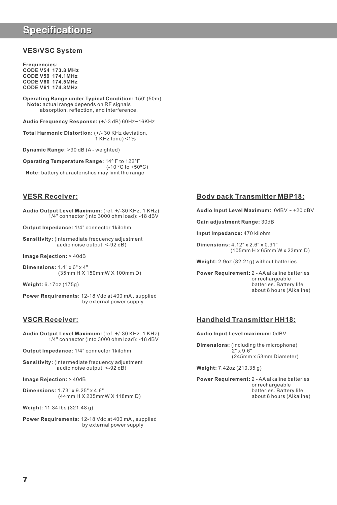# **Specifications**

#### **VES/VSC System**

**Frequencies: CODE V54 173.8 MHz CODE V59 174.1MHz CODE V60 174.5MHz CODE V61 174.8MHz**

**Operating Range under Typical Condition:** 150' (50m) **Note:** actual range depends on RF signals absorption, reflection, and interference.

**Audio Frequency Response:** (+/-3 dB) 60Hz~16KHz

**Total Harmonic Distortion:** (+/- 30 KHz deviation, 1 KHz tone) <1%

**Dynamic Range:** >90 dB (A - weighted)

**Operating Temperature Range:** 14º F to 122ºF(-10 ºC to +50ºC) **Note:** battery characteristics may limit the range

#### **VESR Receiver:**

**Audio Output Level Maximum:** (ref. +/-30 KHz. 1 KHz) 1/4" connector (into 3000 ohm load): -18 dBV

**Output Impedance:** 1/4" connector 1kilohm

**Sensitivity:** (intermediate frequency adjustment audio noise output: <-92 dB)

**Image Rejection:** > 40dB

**Dimensions:** 1.4" x 6" x 4" (35mm H X 150mmW X 100mm D)

**Weight:** 6.17oz (175g)

**Power Requirements:** 12-18 Vdc at 400 mA , supplied by external power supply

#### **VSCR Receiver:**

**Audio Output Level Maximum:** (ref. +/-30 KHz. 1 KHz) 1/4" connector (into 3000 ohm load): -18 dBV

**Output Impedance:** 1/4" connector 1kilohm

**Sensitivity:** (intermediate frequency adjustment audio noise output: <-92 dB)

**Image Rejection:** > 40dB

**Dimensions:** 1.73" x 9.25" x 4.6" (44mm H X 235mmW X 118mm D)

**Weight:** 11.34 lbs (321.48 g)

**Power Requirements:** 12-18 Vdc at 400 mA , supplied by external power supply

#### **Body pack Transmitter MBP18:**

**Audio Input Level Maximum:** 0dBV ~ +20 dBV

**Gain adjustment Range:** 30dB

**Input Impedance:** 470 kilohm

**Dimensions:** 4.12" x 2.6" x 0.91" (105mm H x 65mm W x 23mm D)

**Weight:** 2.9oz (82.21g) without batteries

**Power Requirement:** 2 - AA alkaline batteries or rechargeable batteries. Battery life about 8 hours (Alkaline)

#### **Handheld Transmitter HH18:**

#### **Audio Input Level maximum:** 0dBV

**Dimensions:** (including the microphone) 2" x 9.6" (245mm x 53mm Diameter)

**Weight:** 7.42oz (210.35 g)

**Power Requirement:** 2 - AA alkaline batteries or rechargeable batteries. Battery life about 8 hours (Alkaline)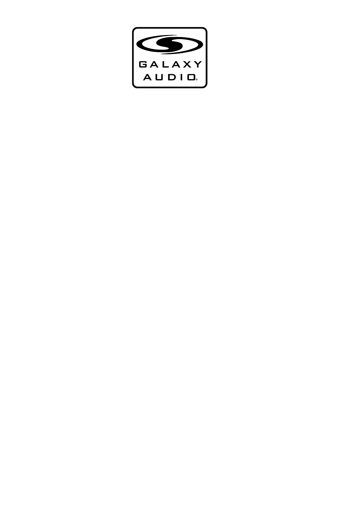